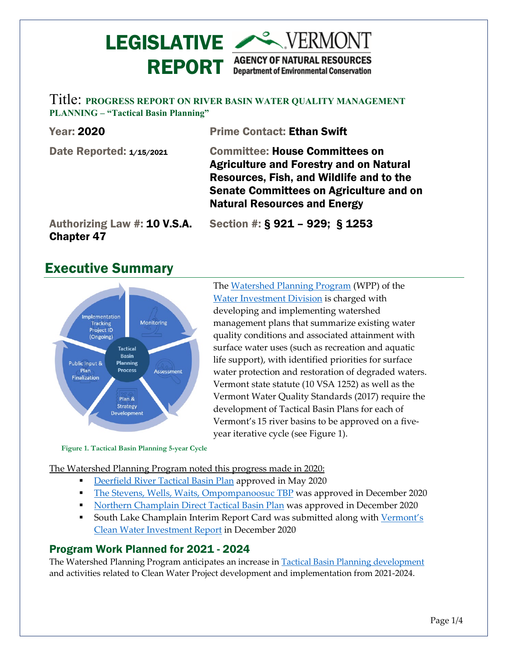# **LEGISLATIVE AREA VERMONT** REPORT AGENCY OF NATURAL RESOURCES

Title: **PROGRESS REPORT ON RIVER BASIN WATER QUALITY MANAGEMENT PLANNING – "Tactical Basin Planning"**

| <b>Year: 2020</b>                                 | <b>Prime Contact: Ethan Swift</b>                                                                                                                                                                                            |
|---------------------------------------------------|------------------------------------------------------------------------------------------------------------------------------------------------------------------------------------------------------------------------------|
| Date Reported: 1/15/2021                          | <b>Committee: House Committees on</b><br><b>Agriculture and Forestry and on Natural</b><br>Resources, Fish, and Wildlife and to the<br><b>Senate Committees on Agriculture and on</b><br><b>Natural Resources and Energy</b> |
| Authorizing Law #: 10 V.S.A.<br><b>Chapter 47</b> | Section #: $\S$ 921 - 929; $\S$ 1253                                                                                                                                                                                         |

## Executive Summary



The [Watershed Planning Program](https://dec.vermont.gov/water-investment/watershed-planning) (WPP) of the [Water Investment Division](https://dec.vermont.gov/water-investment) is charged with developing and implementing watershed management plans that summarize existing water quality conditions and associated attainment with surface water uses (such as recreation and aquatic life support), with identified priorities for surface water protection and restoration of degraded waters. Vermont state statute (10 VSA 1252) as well as the Vermont Water Quality Standards (2017) require the development of Tactical Basin Plans for each of Vermont's 15 river basins to be approved on a fiveyear iterative cycle (see Figure 1).

**Figure 1. Tactical Basin Planning 5-year Cycle**

The [Watershed Planning Program](https://dec.vermont.gov/water-investment/watershed-planning) noted this progress made in 2020:

- [Deerfield River Tactical Basin Plan](https://dec.vermont.gov/water-investment/watershed-planning/tactical-basin-planning/basin12) approved in May 2020
- [The Stevens, Wells, Waits, Ompompanoosuc](https://dec.vermont.gov/water-investment/watershed-planning/tactical-basin-planning/basin14) TBP was approved in December 2020
- [Northern Champlain Direct Tactical Basin Plan](https://dec.vermont.gov/water-investment/watershed-planning/tactical-basin-planning/basin5) was approved in December 2020
- South Lake Champlain Interim Report Card was submitted along with Vermont's [Clean Water Investment Report](https://dec.vermont.gov/water-investment/cwi/reports) in December 2020

## Program Work Planned for 2021 - 2024

The Watershed Planning Program anticipates an increase in [Tactical Basin Planning development](https://vermontgov-my.sharepoint.com/personal/ethan_swift_vermont_gov/Documents/Ethan) and activities related to Clean Water Project development and implementation from 2021-2024.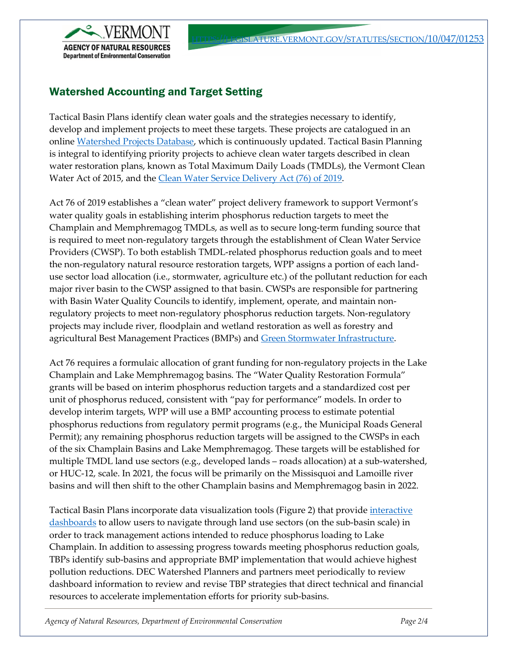

## Watershed Accounting and Target Setting

Tactical Basin Plans identify clean water goals and the strategies necessary to identify, develop and implement projects to meet these targets. These projects are catalogued in an onlin[e Watershed Projects Database,](https://anrweb.vt.gov/DEC/CleanWaterDashboard/WPDSearch.aspx) which is continuously updated. Tactical Basin Planning is integral to identifying priority projects to achieve clean water targets described in clean water restoration plans, known as Total Maximum Daily Loads (TMDLs), the Vermont Clean Water Act of 2015, and the [Clean Water Service Delivery Act \(76\) of 2019.](https://dec.vermont.gov/water-investment/statues-rules-policies/act-76)

Act 76 of 2019 establishes a "clean water" project delivery framework to support Vermont's water quality goals in establishing interim phosphorus reduction targets to meet the Champlain and Memphremagog TMDLs, as well as to secure long-term funding source that is required to meet non-regulatory targets through the establishment of Clean Water Service Providers (CWSP). To both establish TMDL-related phosphorus reduction goals and to meet the non-regulatory natural resource restoration targets, WPP assigns a portion of each landuse sector load allocation (i.e., stormwater, agriculture etc.) of the pollutant reduction for each major river basin to the CWSP assigned to that basin. CWSPs are responsible for partnering with Basin Water Quality Councils to identify, implement, operate, and maintain nonregulatory projects to meet non-regulatory phosphorus reduction targets. Non-regulatory projects may include river, floodplain and wetland restoration as well as forestry and agricultural Best Management Practices (BMPs) and [Green Stormwater Infrastructure.](https://dec.vermont.gov/water-investment/cwi/solutions/developed-lands/green-infrastructure)

Act 76 requires a formulaic allocation of grant funding for non-regulatory projects in the Lake Champlain and Lake Memphremagog basins. The "Water Quality Restoration Formula" grants will be based on interim phosphorus reduction targets and a standardized cost per unit of phosphorus reduced, consistent with "pay for performance" models. In order to develop interim targets, WPP will use a BMP accounting process to estimate potential phosphorus reductions from regulatory permit programs (e.g., the Municipal Roads General Permit); any remaining phosphorus reduction targets will be assigned to the CWSPs in each of the six Champlain Basins and Lake Memphremagog. These targets will be established for multiple TMDL land use sectors (e.g., developed lands – roads allocation) at a sub-watershed, or HUC-12, scale. In 2021, the focus will be primarily on the Missisquoi and Lamoille river basins and will then shift to the other Champlain basins and Memphremagog basin in 2022.

Tactical Basin Plans incorporate data visualization tools (Figure 2) that provid[e interactive](https://app.powerbigov.us/view?r=eyJrIjoiNDIwMmU5OTctN2E3NS00NDZhLWIwYWYtM2M3OGMxNWM2MmZlIiwidCI6IjIwYjQ5MzNiLWJhYWQtNDMzYy05YzAyLTcwZWRjYzc1NTljNiJ9)  [dashboards](https://app.powerbigov.us/view?r=eyJrIjoiNDIwMmU5OTctN2E3NS00NDZhLWIwYWYtM2M3OGMxNWM2MmZlIiwidCI6IjIwYjQ5MzNiLWJhYWQtNDMzYy05YzAyLTcwZWRjYzc1NTljNiJ9) to allow users to navigate through land use sectors (on the sub-basin scale) in order to track management actions intended to reduce phosphorus loading to Lake Champlain. In addition to assessing progress towards meeting phosphorus reduction goals, TBPs identify sub-basins and appropriate BMP implementation that would achieve highest pollution reductions. DEC Watershed Planners and partners meet periodically to review dashboard information to review and revise TBP strategies that direct technical and financial resources to accelerate implementation efforts for priority sub-basins.

*Agency of Natural Resources, Department of Environmental Conservation Page 2/4*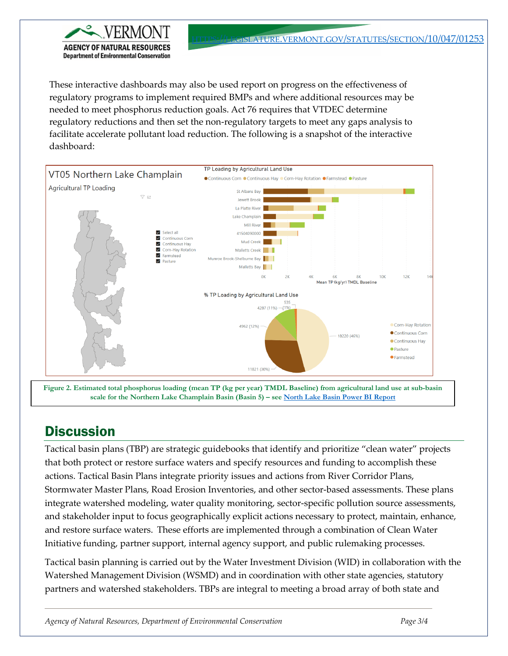These interactive dashboards may also be used report on progress on the effectiveness of regulatory programs to implement required BMPs and where additional resources may be needed to meet phosphorus reduction goals. Act 76 requires that VTDEC determine regulatory reductions and then set the non-regulatory targets to meet any gaps analysis to facilitate accelerate pollutant load reduction. The following is a snapshot of the interactive dashboard:



**Figure 2. Estimated total phosphorus loading (mean TP (kg per year) TMDL Baseline) from agricultural land use at sub-basin scale for the Northern Lake Champlain Basin (Basin 5) – see [North Lake Basin Power BI Report](https://app.powerbigov.us/view?r=eyJrIjoiNDIwMmU5OTctN2E3NS00NDZhLWIwYWYtM2M3OGMxNWM2MmZlIiwidCI6IjIwYjQ5MzNiLWJhYWQtNDMzYy05YzAyLTcwZWRjYzc1NTljNiJ9)**

## **Discussion**

AGENCY OF NATURAL RE

**Department of Environmental Conservation** 

Tactical basin plans (TBP) are strategic guidebooks that identify and prioritize "clean water" projects that both protect or restore surface waters and specify resources and funding to accomplish these actions. Tactical Basin Plans integrate priority issues and actions from River Corridor Plans, Stormwater Master Plans, Road Erosion Inventories, and other sector-based assessments. These plans integrate watershed modeling, water quality monitoring, sector-specific pollution source assessments, and stakeholder input to focus geographically explicit actions necessary to protect, maintain, enhance, and restore surface waters. These efforts are implemented through a combination of Clean Water Initiative funding, partner support, internal agency support, and public rulemaking processes.

Tactical basin planning is carried out by the Water Investment Division (WID) in collaboration with the Watershed Management Division (WSMD) and in coordination with other state agencies, statutory partners and watershed stakeholders. TBPs are integral to meeting a broad array of both state and